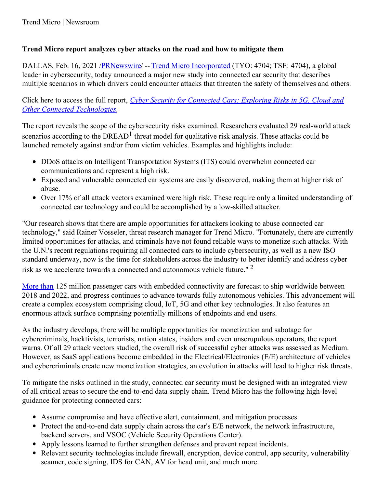## **Trend Micro report analyzes cyber attacks on the road and how to mitigate them**

DALLAS, Feb. 16, 2021 [/PRNewswire](http://www.prnewswire.com/)/ -- Trend Micro [Incorporated](https://c212.net/c/link/?t=0&l=en&o=3067913-1&h=3641936236&u=http%3A%2F%2Fwww.trendmicro.com%2F&a=Trend+Micro+Incorporated) (TYO: 4704; TSE: 4704), a global leader in cybersecurity, today announced a major new study into connected car security that describes multiple scenarios in which drivers could encounter attacks that threaten the safety of themselves and others.

Click here to access the full report, *Cyber Security for Connected Cars: Exploring Risks in 5G, Cloud and Other Connected [Technologies.](https://c212.net/c/link/?t=0&l=en&o=3067913-1&h=2492136728&u=https%3A%2F%2Fwww.trendmicro.com%2Fvinfo%2Fus%2Fsecurity%2Fnews%2Finternet-of-things%2Fin-transit-interconnected-at-risk-cybersecurity-risks-of-connected-cars&a=Cyber+Security+for+Connected+Cars%3A+Exploring+Risks+in+5G%2C+Cloud+and+Other+Connected+Technologies)*

The report reveals the scope of the cybersecurity risks examined. Researchers evaluated 29 real-world attack scenarios according to the DREAD<sup>1</sup> threat model for qualitative risk analysis. These attacks could be launched remotely against and/or from victim vehicles. Examples and highlights include:

- DDoS attacks on Intelligent Transportation Systems (ITS) could overwhelm connected car communications and represent a high risk.
- Exposed and vulnerable connected car systems are easily discovered, making them at higher risk of abuse.
- Over 17% of all attack vectors examined were high risk. These require only a limited understanding of connected car technology and could be accomplished by a low-skilled attacker.

"Our research shows that there are ample opportunities for attackers looking to abuse connected car technology," said Rainer Vosseler, threat research manager for Trend Micro. "Fortunately, there are currently limited opportunities for attacks, and criminals have not found reliable ways to monetize such attacks. With the U.N.'s recent regulations requiring all connected cars to include cybersecurity, as well as a new ISO standard underway, now is the time for stakeholders across the industry to better identify and address cyber risk as we accelerate towards a connected and autonomous vehicle future." 2

[More](https://c212.net/c/link/?t=0&l=en&o=3067913-1&h=2177244037&u=https%3A%2F%2Finternetofbusiness.com%2Fworldwide-connected-car-market-to-top-125-million-by-2022%2F&a=More+than) than 125 million passenger cars with embedded connectivity are forecast to ship worldwide between 2018 and 2022, and progress continues to advance towards fully autonomous vehicles. This advancement will create a complex ecosystem comprising cloud, IoT, 5G and other key technologies. It also features an enormous attack surface comprising potentially millions of endpoints and end users.

As the industry develops, there will be multiple opportunities for monetization and sabotage for cybercriminals, hacktivists, terrorists, nation states, insiders and even unscrupulous operators, the report warns. Of all 29 attack vectors studied, the overall risk of successful cyber attacks was assessed as Medium. However, as SaaS applications become embedded in the Electrical/Electronics (E/E) architecture of vehicles and cybercriminals create new monetization strategies, an evolution in attacks will lead to higher risk threats.

To mitigate the risks outlined in the study, connected car security must be designed with an integrated view of all critical areas to secure the end-to-end data supply chain. Trend Micro has the following high-level guidance for protecting connected cars:

- Assume compromise and have effective alert, containment, and mitigation processes.
- Protect the end-to-end data supply chain across the car's E/E network, the network infrastructure, backend servers, and VSOC (Vehicle Security Operations Center).
- Apply lessons learned to further strengthen defenses and prevent repeat incidents.
- Relevant security technologies include firewall, encryption, device control, app security, vulnerability scanner, code signing, IDS for CAN, AV for head unit, and much more.